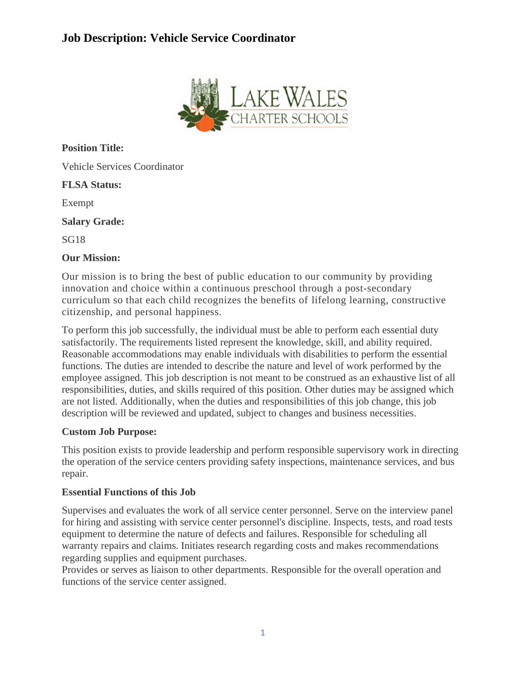# **Job Description: Vehicle Service Coordinator**



**Position Title:**

Vehicle Services Coordinator

## **FLSA Status:**

Exempt

**Salary Grade:**

SG18

#### **Our Mission:**

Our mission is to bring the best of public education to our community by providing innovation and choice within a continuous preschool through a post-secondary curriculum so that each child recognizes the benefits of lifelong learning, constructive citizenship, and personal happiness.

To perform this job successfully, the individual must be able to perform each essential duty satisfactorily. The requirements listed represent the knowledge, skill, and ability required. Reasonable accommodations may enable individuals with disabilities to perform the essential functions. The duties are intended to describe the nature and level of work performed by the employee assigned. This job description is not meant to be construed as an exhaustive list of all responsibilities, duties, and skills required of this position. Other duties may be assigned which are not listed. Additionally, when the duties and responsibilities of this job change, this job description will be reviewed and updated, subject to changes and business necessities.

## **Custom Job Purpose:**

This position exists to provide leadership and perform responsible supervisory work in directing the operation of the service centers providing safety inspections, maintenance services, and bus repair.

## **Essential Functions of this Job**

Supervises and evaluates the work of all service center personnel. Serve on the interview panel for hiring and assisting with service center personnel's discipline. Inspects, tests, and road tests equipment to determine the nature of defects and failures. Responsible for scheduling all warranty repairs and claims. Initiates research regarding costs and makes recommendations regarding supplies and equipment purchases.

Provides or serves as liaison to other departments. Responsible for the overall operation and functions of the service center assigned.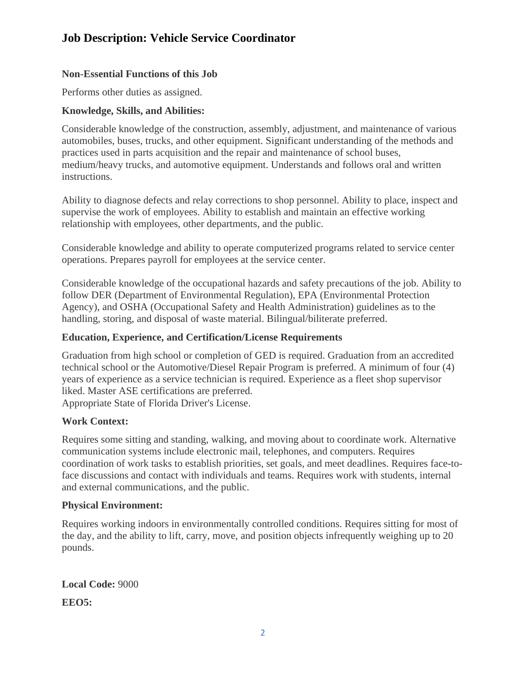# **Job Description: Vehicle Service Coordinator**

# **Non-Essential Functions of this Job**

Performs other duties as assigned.

## **Knowledge, Skills, and Abilities:**

Considerable knowledge of the construction, assembly, adjustment, and maintenance of various automobiles, buses, trucks, and other equipment. Significant understanding of the methods and practices used in parts acquisition and the repair and maintenance of school buses, medium/heavy trucks, and automotive equipment. Understands and follows oral and written instructions.

Ability to diagnose defects and relay corrections to shop personnel. Ability to place, inspect and supervise the work of employees. Ability to establish and maintain an effective working relationship with employees, other departments, and the public.

Considerable knowledge and ability to operate computerized programs related to service center operations. Prepares payroll for employees at the service center.

Considerable knowledge of the occupational hazards and safety precautions of the job. Ability to follow DER (Department of Environmental Regulation), EPA (Environmental Protection Agency), and OSHA (Occupational Safety and Health Administration) guidelines as to the handling, storing, and disposal of waste material. Bilingual/biliterate preferred.

#### **Education, Experience, and Certification/License Requirements**

Graduation from high school or completion of GED is required. Graduation from an accredited technical school or the Automotive/Diesel Repair Program is preferred. A minimum of four (4) years of experience as a service technician is required. Experience as a fleet shop supervisor liked. Master ASE certifications are preferred. Appropriate State of Florida Driver's License.

## **Work Context:**

Requires some sitting and standing, walking, and moving about to coordinate work. Alternative communication systems include electronic mail, telephones, and computers. Requires coordination of work tasks to establish priorities, set goals, and meet deadlines. Requires face-toface discussions and contact with individuals and teams. Requires work with students, internal and external communications, and the public.

#### **Physical Environment:**

Requires working indoors in environmentally controlled conditions. Requires sitting for most of the day, and the ability to lift, carry, move, and position objects infrequently weighing up to 20 pounds.

**Local Code:** 9000 **EEO5:**